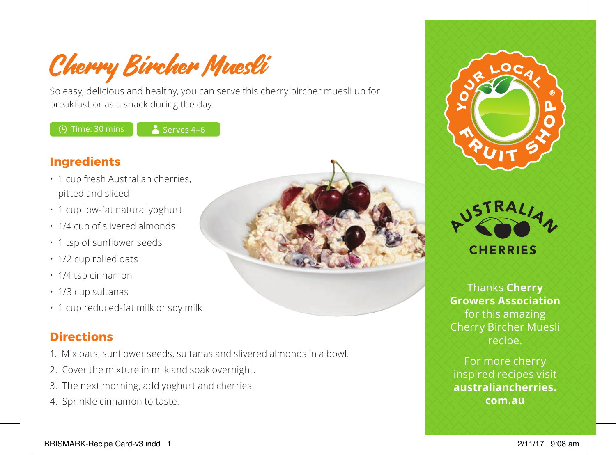Cherry Bircher Muesli

So easy, delicious and healthy, you can serve this cherry bircher muesli up for breakfast or as a snack during the day.

 $\circ$  Time: 30 mins  $\bullet$  Serves 4–6

### **Ingredients**

- 1 cup fresh Australian cherries, pitted and sliced
- 1 cup low-fat natural yoghurt
- 1/4 cup of slivered almonds
- 1 tsp of sunflower seeds
- 1/2 cup rolled oats
- $\cdot$  1/4 tsp cinnamon
- 1/3 cup sultanas
- 1 cup reduced-fat milk or soy milk

# **Directions**

- 1. Mix oats, sunflower seeds, sultanas and slivered almonds in a bowl.
- 2. Cover the mixture in milk and soak overnight.
- 3. The next morning, add yoghurt and cherries.
- 4. Sprinkle cinnamon to taste.







Thanks **Cherry Growers Association**  for this amazing Cherry Bircher Muesli recipe.

For more cherry inspired recipes visit **australiancherries. com.au**